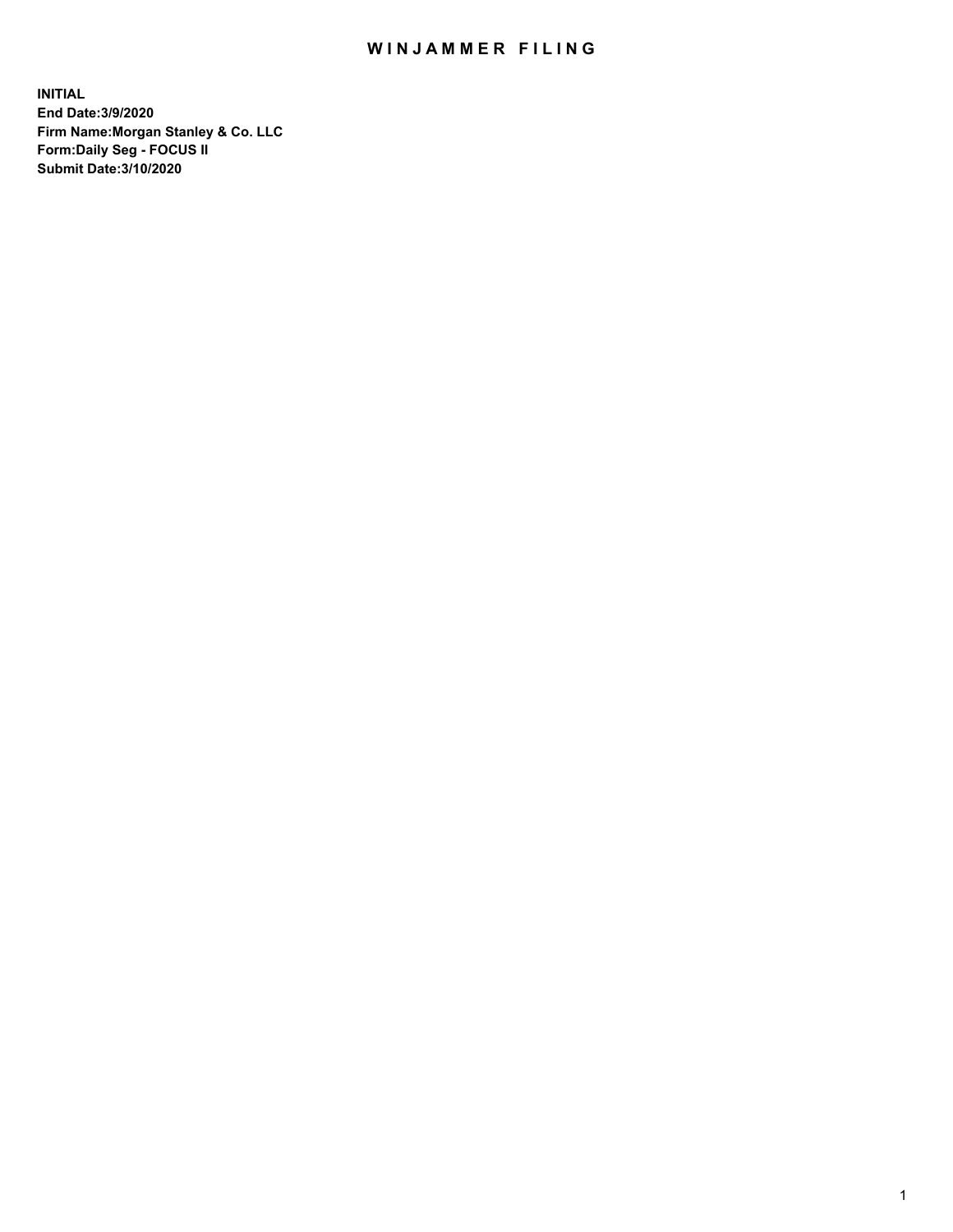## WIN JAMMER FILING

**INITIAL End Date:3/9/2020 Firm Name:Morgan Stanley & Co. LLC Form:Daily Seg - FOCUS II Submit Date:3/10/2020**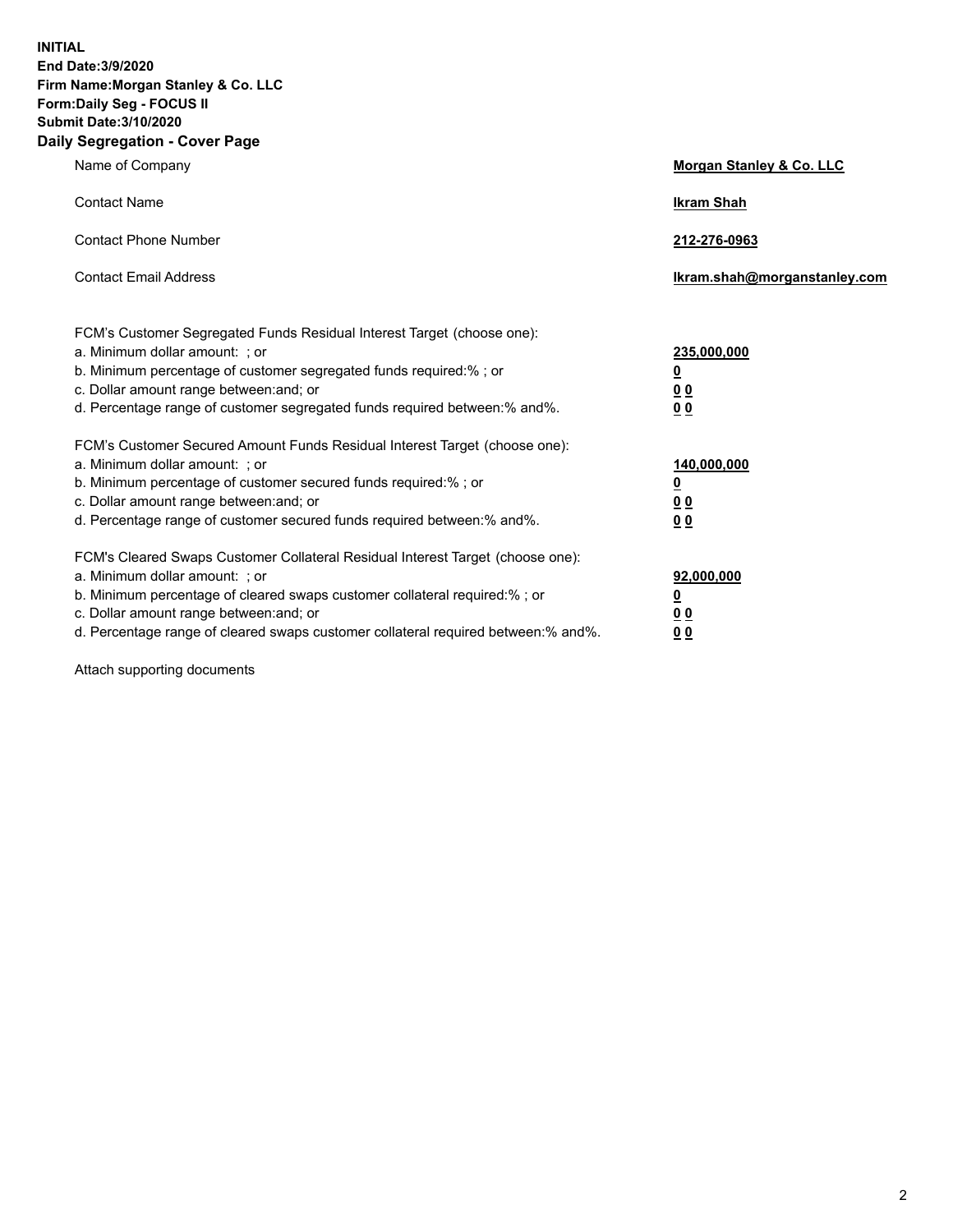**INITIAL End Date:3/9/2020 Firm Name:Morgan Stanley & Co. LLC Form:Daily Seg - FOCUS II Submit Date:3/10/2020 Daily Segregation - Cover Page**

| Name of Company                                                                                                                                                                                                                                                                                                                | <b>Morgan Stanley &amp; Co. LLC</b>                    |
|--------------------------------------------------------------------------------------------------------------------------------------------------------------------------------------------------------------------------------------------------------------------------------------------------------------------------------|--------------------------------------------------------|
| <b>Contact Name</b>                                                                                                                                                                                                                                                                                                            | <b>Ikram Shah</b>                                      |
| <b>Contact Phone Number</b>                                                                                                                                                                                                                                                                                                    | 212-276-0963                                           |
| <b>Contact Email Address</b>                                                                                                                                                                                                                                                                                                   | Ikram.shah@morganstanley.com                           |
| FCM's Customer Segregated Funds Residual Interest Target (choose one):<br>a. Minimum dollar amount: ; or<br>b. Minimum percentage of customer segregated funds required:% ; or<br>c. Dollar amount range between: and; or<br>d. Percentage range of customer segregated funds required between:% and%.                         | 235,000,000<br><u>0</u><br>0 Q<br>0 Q                  |
| FCM's Customer Secured Amount Funds Residual Interest Target (choose one):<br>a. Minimum dollar amount: ; or<br>b. Minimum percentage of customer secured funds required:% ; or<br>c. Dollar amount range between: and; or<br>d. Percentage range of customer secured funds required between: % and %.                         | 140,000,000<br><u>0</u><br><u>00</u><br>0 <sub>0</sub> |
| FCM's Cleared Swaps Customer Collateral Residual Interest Target (choose one):<br>a. Minimum dollar amount: ; or<br>b. Minimum percentage of cleared swaps customer collateral required:% ; or<br>c. Dollar amount range between: and; or<br>d. Percentage range of cleared swaps customer collateral required between:% and%. | 92,000,000<br><u>0</u><br>0 Q<br>00                    |

Attach supporting documents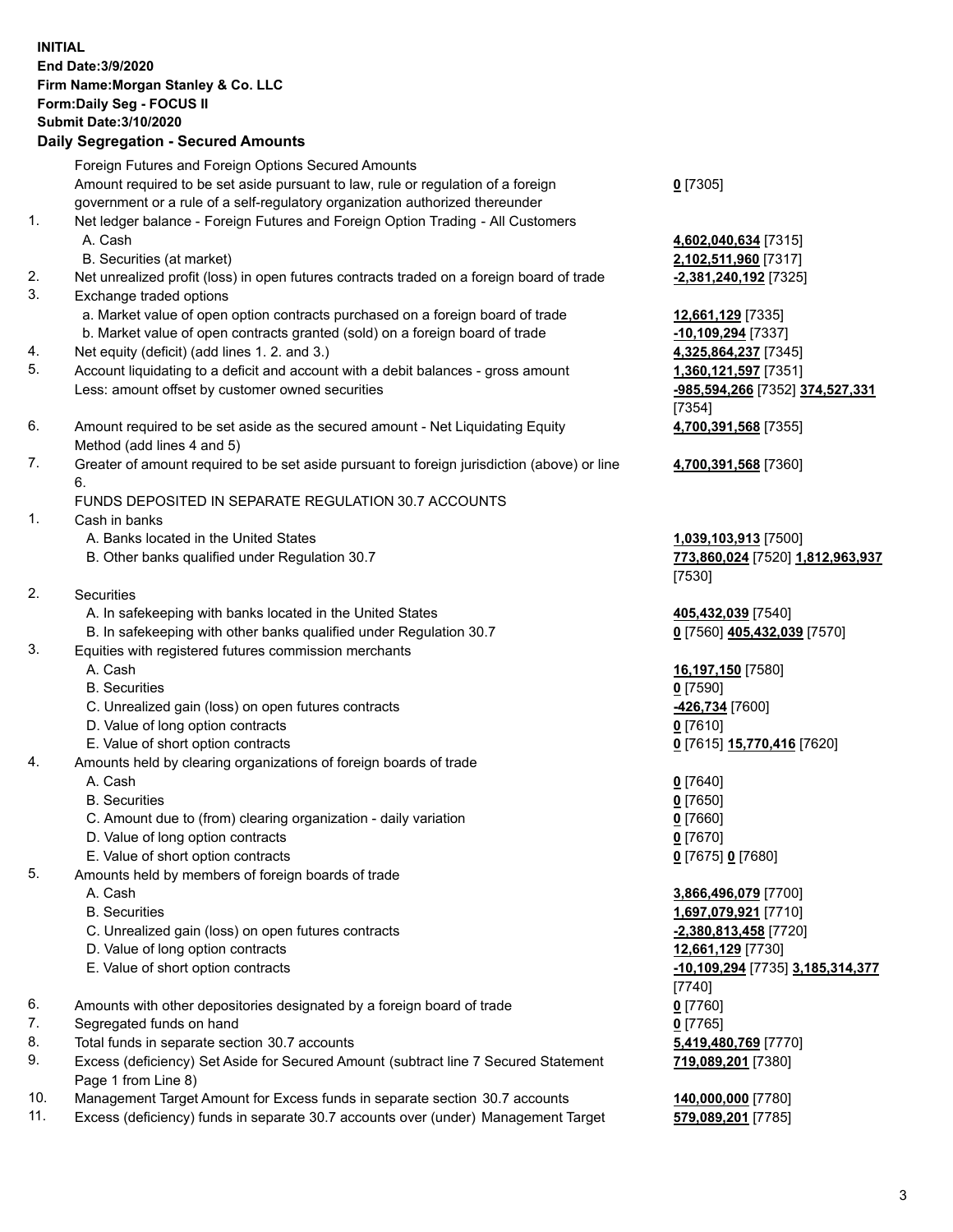## **INITIAL End Date:3/9/2020 Firm Name:Morgan Stanley & Co. LLC Form:Daily Seg - FOCUS II Submit Date:3/10/2020 Daily Segregation - Secured Amounts** Foreign Futures and Foreign Options Secured Amounts Amount required to be set aside pursuant to law, rule or regulation of a foreign government or a rule of a self-regulatory organization authorized thereunder 1. Net ledger balance - Foreign Futures and Foreign Option Trading - All Customers A. Cash **4,602,040,634** [7315] B. Securities (at market) **2,102,511,960** [7317] 2. Net unrealized profit (loss) in open futures contracts traded on a foreign board of trade **-2,381,240,192** [7325] 3. Exchange traded options a. Market value of open option contracts purchased on a foreign board of trade **12,661,129** [7335] b. Market value of open contracts granted (sold) on a foreign board of trade **-10,109,294** [7337] 4. Net equity (deficit) (add lines 1. 2. and 3.) **4,325,864,237** [7345] 5. Account liquidating to a deficit and account with a debit balances - gross amount **1,360,121,597** [7351] Less: amount offset by customer owned securities **-985,594,266** [7352] **374,527,331** 6. Amount required to be set aside as the secured amount - Net Liquidating Equity Method (add lines 4 and 5) 7. Greater of amount required to be set aside pursuant to foreign jurisdiction (above) or line 6. FUNDS DEPOSITED IN SEPARATE REGULATION 30.7 ACCOUNTS 1. Cash in banks A. Banks located in the United States **1,039,103,913** [7500] B. Other banks qualified under Regulation 30.7 **773,860,024** [7520] **1,812,963,937** 2. Securities A. In safekeeping with banks located in the United States **405,432,039** [7540] B. In safekeeping with other banks qualified under Regulation 30.7 **0** [7560] **405,432,039** [7570] 3. Equities with registered futures commission merchants A. Cash **16,197,150** [7580] B. Securities **0** [7590] C. Unrealized gain (loss) on open futures contracts **-426,734** [7600] D. Value of long option contracts **0** [7610] E. Value of short option contracts **0** [7615] **15,770,416** [7620] 4. Amounts held by clearing organizations of foreign boards of trade A. Cash **0** [7640] B. Securities **0** [7650] C. Amount due to (from) clearing organization - daily variation **0** [7660] D. Value of long option contracts **0** [7670] E. Value of short option contracts **0** [7675] **0** [7680] 5. Amounts held by members of foreign boards of trade A. Cash **3,866,496,079** [7700] B. Securities **1,697,079,921** [7710] C. Unrealized gain (loss) on open futures contracts **-2,380,813,458** [7720] D. Value of long option contracts **12,661,129** [7730] E. Value of short option contracts **-10,109,294** [7735] **3,185,314,377** 6. Amounts with other depositories designated by a foreign board of trade **0** [7760] 7. Segregated funds on hand **0** [7765]

- 8. Total funds in separate section 30.7 accounts **5,419,480,769** [7770]
- 9. Excess (deficiency) Set Aside for Secured Amount (subtract line 7 Secured Statement Page 1 from Line 8)
- 10. Management Target Amount for Excess funds in separate section 30.7 accounts **140,000,000** [7780]
- 11. Excess (deficiency) funds in separate 30.7 accounts over (under) Management Target **579,089,201** [7785]

**0** [7305]

[7354] **4,700,391,568** [7355]

**4,700,391,568** [7360]

[7530]

[7740] **719,089,201** [7380]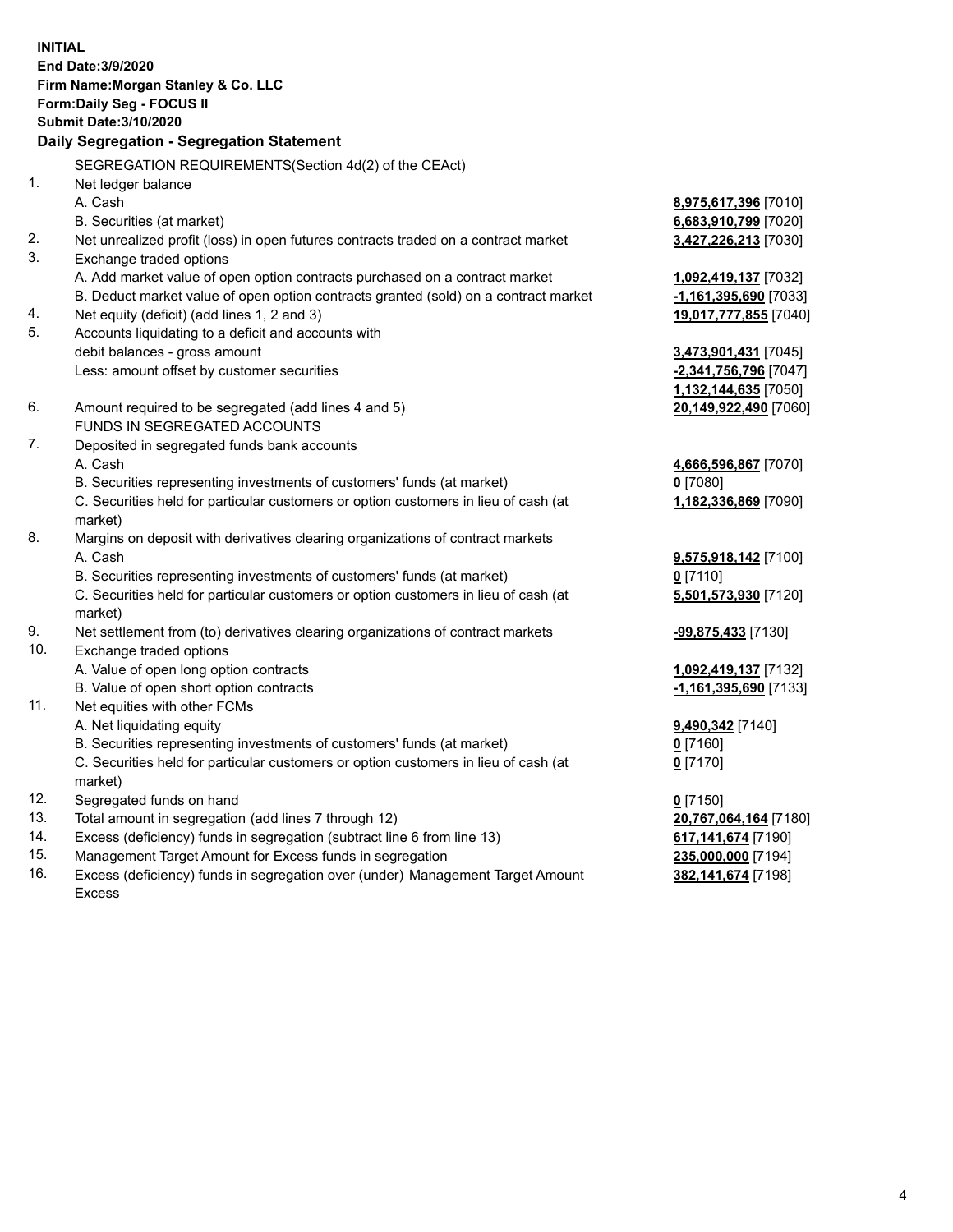**INITIAL End Date:3/9/2020 Firm Name:Morgan Stanley & Co. LLC Form:Daily Seg - FOCUS II Submit Date:3/10/2020 Daily Segregation - Segregation Statement** SEGREGATION REQUIREMENTS(Section 4d(2) of the CEAct) 1. Net ledger balance A. Cash **8,975,617,396** [7010] B. Securities (at market) **6,683,910,799** [7020] 2. Net unrealized profit (loss) in open futures contracts traded on a contract market **3,427,226,213** [7030] 3. Exchange traded options A. Add market value of open option contracts purchased on a contract market **1,092,419,137** [7032] B. Deduct market value of open option contracts granted (sold) on a contract market **-1,161,395,690** [7033] 4. Net equity (deficit) (add lines 1, 2 and 3) **19,017,777,855** [7040] 5. Accounts liquidating to a deficit and accounts with debit balances - gross amount **3,473,901,431** [7045] Less: amount offset by customer securities **-2,341,756,796** [7047] **1,132,144,635** [7050] 6. Amount required to be segregated (add lines 4 and 5) **20,149,922,490** [7060] FUNDS IN SEGREGATED ACCOUNTS 7. Deposited in segregated funds bank accounts A. Cash **4,666,596,867** [7070] B. Securities representing investments of customers' funds (at market) **0** [7080] C. Securities held for particular customers or option customers in lieu of cash (at market) **1,182,336,869** [7090] 8. Margins on deposit with derivatives clearing organizations of contract markets A. Cash **9,575,918,142** [7100] B. Securities representing investments of customers' funds (at market) **0** [7110] C. Securities held for particular customers or option customers in lieu of cash (at market) **5,501,573,930** [7120] 9. Net settlement from (to) derivatives clearing organizations of contract markets **-99,875,433** [7130] 10. Exchange traded options A. Value of open long option contracts **1,092,419,137** [7132] B. Value of open short option contracts **-1,161,395,690** [7133] 11. Net equities with other FCMs A. Net liquidating equity **9,490,342** [7140] B. Securities representing investments of customers' funds (at market) **0** [7160] C. Securities held for particular customers or option customers in lieu of cash (at market) **0** [7170] 12. Segregated funds on hand **0** [7150] 13. Total amount in segregation (add lines 7 through 12) **20,767,064,164** [7180] 14. Excess (deficiency) funds in segregation (subtract line 6 from line 13) **617,141,674** [7190] 15. Management Target Amount for Excess funds in segregation **235,000,000** [7194]

16. Excess (deficiency) funds in segregation over (under) Management Target Amount Excess

**382,141,674** [7198]